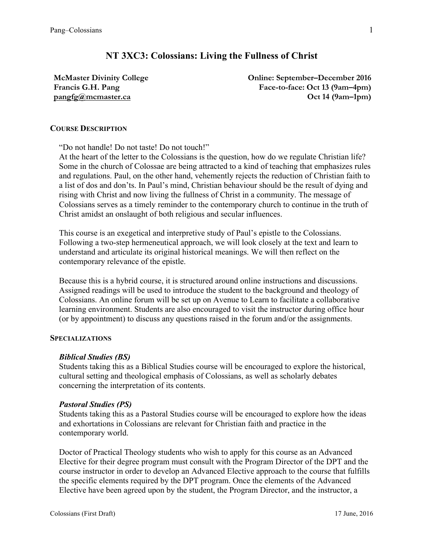# **NT 3XC3: Colossians: Living the Fullness of Christ**

**McMaster Divinity College Francis G.H. Pang pangfg@mcmaster.ca**

**Online: September–December 2016 Face-to-face: Oct 13 (9am–4pm) Oct 14 (9am–1pm)**

#### **COURSE DESCRIPTION**

"Do not handle! Do not taste! Do not touch!"

At the heart of the letter to the Colossians is the question, how do we regulate Christian life? Some in the church of Colossae are being attracted to a kind of teaching that emphasizes rules and regulations. Paul, on the other hand, vehemently rejects the reduction of Christian faith to a list of dos and don'ts. In Paul's mind, Christian behaviour should be the result of dying and rising with Christ and now living the fullness of Christ in a community. The message of Colossians serves as a timely reminder to the contemporary church to continue in the truth of Christ amidst an onslaught of both religious and secular influences.

This course is an exegetical and interpretive study of Paul's epistle to the Colossians. Following a two-step hermeneutical approach, we will look closely at the text and learn to understand and articulate its original historical meanings. We will then reflect on the contemporary relevance of the epistle.

Because this is a hybrid course, it is structured around online instructions and discussions. Assigned readings will be used to introduce the student to the background and theology of Colossians. An online forum will be set up on Avenue to Learn to facilitate a collaborative learning environment. Students are also encouraged to visit the instructor during office hour (or by appointment) to discuss any questions raised in the forum and/or the assignments.

## **SPECIALIZATIONS**

#### *Biblical Studies (BS)*

Students taking this as a Biblical Studies course will be encouraged to explore the historical, cultural setting and theological emphasis of Colossians, as well as scholarly debates concerning the interpretation of its contents.

#### *Pastoral Studies (PS)*

Students taking this as a Pastoral Studies course will be encouraged to explore how the ideas and exhortations in Colossians are relevant for Christian faith and practice in the contemporary world.

Doctor of Practical Theology students who wish to apply for this course as an Advanced Elective for their degree program must consult with the Program Director of the DPT and the course instructor in order to develop an Advanced Elective approach to the course that fulfills the specific elements required by the DPT program. Once the elements of the Advanced Elective have been agreed upon by the student, the Program Director, and the instructor, a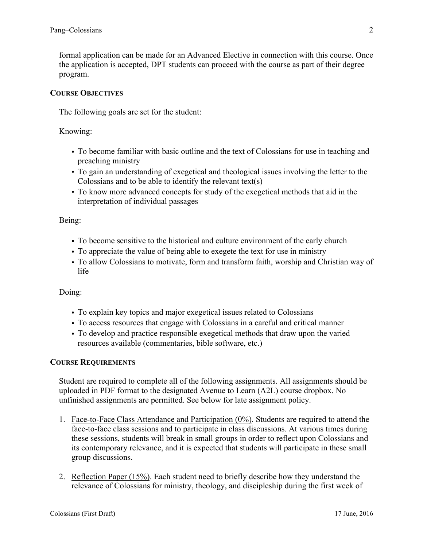formal application can be made for an Advanced Elective in connection with this course. Once the application is accepted, DPT students can proceed with the course as part of their degree program.

## **COURSE OBJECTIVES**

The following goals are set for the student:

Knowing:

- To become familiar with basic outline and the text of Colossians for use in teaching and preaching ministry
- To gain an understanding of exegetical and theological issues involving the letter to the Colossians and to be able to identify the relevant text(s)
- To know more advanced concepts for study of the exegetical methods that aid in the interpretation of individual passages

Being:

- To become sensitive to the historical and culture environment of the early church
- To appreciate the value of being able to exegete the text for use in ministry
- To allow Colossians to motivate, form and transform faith, worship and Christian way of life

Doing:

- To explain key topics and major exegetical issues related to Colossians
- To access resources that engage with Colossians in a careful and critical manner
- To develop and practice responsible exegetical methods that draw upon the varied resources available (commentaries, bible software, etc.)

#### **COURSE REQUIREMENTS**

Student are required to complete all of the following assignments. All assignments should be uploaded in PDF format to the designated Avenue to Learn (A2L) course dropbox. No unfinished assignments are permitted. See below for late assignment policy.

- 1. Face-to-Face Class Attendance and Participation (0%). Students are required to attend the face-to-face class sessions and to participate in class discussions. At various times during these sessions, students will break in small groups in order to reflect upon Colossians and its contemporary relevance, and it is expected that students will participate in these small group discussions.
- 2. Reflection Paper (15%). Each student need to briefly describe how they understand the relevance of Colossians for ministry, theology, and discipleship during the first week of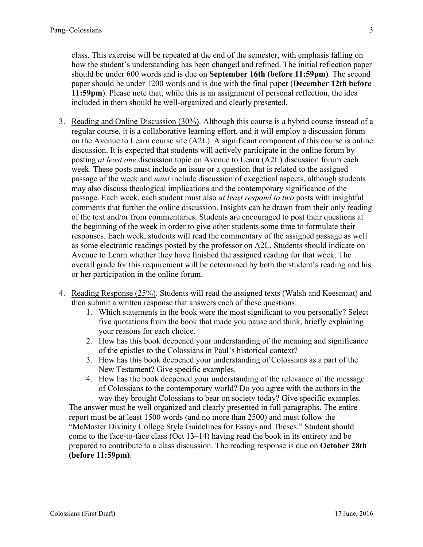class. This exercise will be repeated at the end of the semester, with emphasis falling on how the student's understanding has been changed and refined. The initial reflection paper should be under 600 words and is due on **September 16th (before 11:59pm)***.* The second paper should be under 1200 words and is due with the final paper (**December 12th before 11:59pm**). Please note that, while this is an assignment of personal reflection, the idea included in them should be well-organized and clearly presented.

- 3. Reading and Online Discussion (30%). Although this course is a hybrid course instead of a regular course, it is a collaborative learning effort, and it will employ a discussion forum on the Avenue to Learn course site (A2L). A significant component of this course is online discussion. It is expected that students will actively participate in the online forum by posting *at least one* discussion topic on Avenue to Learn (A2L) discussion forum each week. These posts must include an issue or a question that is related to the assigned passage of the week and *must* include discussion of exegetical aspects, although students may also discuss theological implications and the contemporary significance of the passage. Each week, each student must also *at least respond to two* posts with insightful comments that further the online discussion. Insights can be drawn from their only reading of the text and/or from commentaries. Students are encouraged to post their questions at the beginning of the week in order to give other students some time to formulate their responses. Each week, students will read the commentary of the assigned passage as well as some electronic readings posted by the professor on A2L. Students should indicate on Avenue to Learn whether they have finished the assigned reading for that week. The overall grade for this requirement will be determined by both the student's reading and his or her participation in the online forum.
- 4. Reading Response (25%). Students will read the assigned texts (Walsh and Keesmaat) and then submit a written response that answers each of these questions:
	- 1. Which statements in the book were the most significant to you personally? Select five quotations from the book that made you pause and think, briefly explaining your reasons for each choice.
	- 2. How has this book deepened your understanding of the meaning and significance of the epistles to the Colossians in Paul's historical context?
	- 3. How has this book deepened your understanding of Colossians as a part of the New Testament? Give specific examples.
	- 4. How has the book deepened your understanding of the relevance of the message of Colossians to the contemporary world? Do you agree with the authors in the way they brought Colossians to bear on society today? Give specific examples.

The answer must be well organized and clearly presented in full paragraphs. The entire report must be at least 1500 words (and no more than 2500) and must follow the "McMaster Divinity College Style Guidelines for Essays and Theses." Student should come to the face-to-face class (Oct 13–14) having read the book in its entirety and be prepared to contribute to a class discussion. The reading response is due on **October 28th (before 11:59pm)**.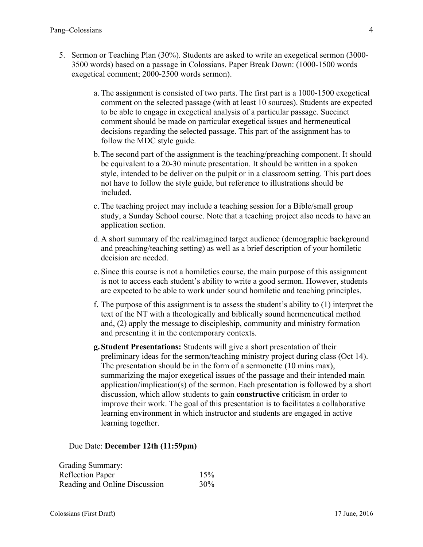- 5. Sermon or Teaching Plan (30%). Students are asked to write an exegetical sermon (3000- 3500 words) based on a passage in Colossians. Paper Break Down: (1000-1500 words exegetical comment; 2000-2500 words sermon).
	- a. The assignment is consisted of two parts. The first part is a 1000-1500 exegetical comment on the selected passage (with at least 10 sources). Students are expected to be able to engage in exegetical analysis of a particular passage. Succinct comment should be made on particular exegetical issues and hermeneutical decisions regarding the selected passage. This part of the assignment has to follow the MDC style guide.
	- b.The second part of the assignment is the teaching/preaching component. It should be equivalent to a 20-30 minute presentation. It should be written in a spoken style, intended to be deliver on the pulpit or in a classroom setting. This part does not have to follow the style guide, but reference to illustrations should be included.
	- c. The teaching project may include a teaching session for a Bible/small group study, a Sunday School course. Note that a teaching project also needs to have an application section.
	- d.A short summary of the real/imagined target audience (demographic background and preaching/teaching setting) as well as a brief description of your homiletic decision are needed.
	- e. Since this course is not a homiletics course, the main purpose of this assignment is not to access each student's ability to write a good sermon. However, students are expected to be able to work under sound homiletic and teaching principles.
	- f. The purpose of this assignment is to assess the student's ability to (1) interpret the text of the NT with a theologically and biblically sound hermeneutical method and, (2) apply the message to discipleship, community and ministry formation and presenting it in the contemporary contexts.
	- **g.Student Presentations:** Students will give a short presentation of their preliminary ideas for the sermon/teaching ministry project during class (Oct 14). The presentation should be in the form of a sermonette (10 mins max), summarizing the major exegetical issues of the passage and their intended main application/implication(s) of the sermon. Each presentation is followed by a short discussion, which allow students to gain **constructive** criticism in order to improve their work. The goal of this presentation is to facilitates a collaborative learning environment in which instructor and students are engaged in active learning together.

Due Date: **December 12th (11:59pm)**

| Grading Summary:              |     |
|-------------------------------|-----|
| <b>Reflection Paper</b>       | 15% |
| Reading and Online Discussion | 30% |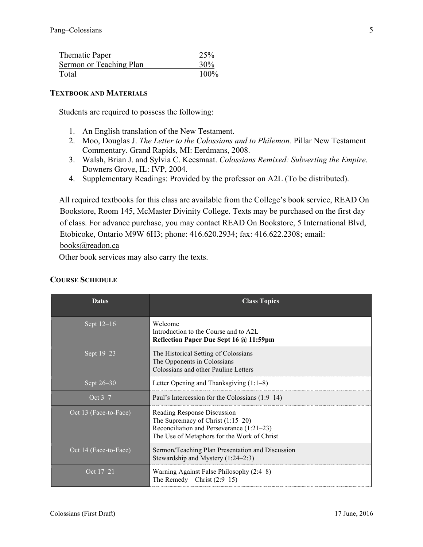| Thematic Paper          | 25%    |
|-------------------------|--------|
| Sermon or Teaching Plan | $30\%$ |
| Total                   | 100%   |

#### **TEXTBOOK AND MATERIALS**

Students are required to possess the following:

- 1. An English translation of the New Testament.
- 2. Moo, Douglas J. *The Letter to the Colossians and to Philemon.* Pillar New Testament Commentary. Grand Rapids, MI: Eerdmans, 2008.
- 3. Walsh, Brian J. and Sylvia C. Keesmaat. *Colossians Remixed: Subverting the Empire*. Downers Grove, IL: IVP, 2004.
- 4. Supplementary Readings: Provided by the professor on A2L (To be distributed).

All required textbooks for this class are available from the College's book service, READ On Bookstore, Room 145, McMaster Divinity College. Texts may be purchased on the first day of class. For advance purchase, you may contact READ On Bookstore, 5 International Blvd, Etobicoke, Ontario M9W 6H3; phone: 416.620.2934; fax: 416.622.2308; email:

books@readon.ca

Other book services may also carry the texts.

# **COURSE SCHEDULE**

| <b>Dates</b>          | <b>Class Topics</b>                                                                                                                                            |
|-----------------------|----------------------------------------------------------------------------------------------------------------------------------------------------------------|
| Sept 12-16            | Welcome<br>Introduction to the Course and to A2L<br>Reflection Paper Due Sept 16 @ 11:59pm                                                                     |
| Sept 19-23            | The Historical Setting of Colossians<br>The Opponents in Colossians<br>Colossians and other Pauline Letters                                                    |
| Sept 26–30            | Letter Opening and Thanksgiving $(1:1-8)$                                                                                                                      |
| Oct $3-7$             | Paul's Intercession for the Colossians (1:9–14)                                                                                                                |
| Oct 13 (Face-to-Face) | Reading Response Discussion<br>The Supremacy of Christ $(1:15-20)$<br>Reconciliation and Perseverance (1:21–23)<br>The Use of Metaphors for the Work of Christ |
| Oct 14 (Face-to-Face) | Sermon/Teaching Plan Presentation and Discussion<br>Stewardship and Mystery (1:24–2:3)                                                                         |
| Oct 17-21             | Warning Against False Philosophy (2:4–8)<br>The Remedy—Christ $(2:9-15)$                                                                                       |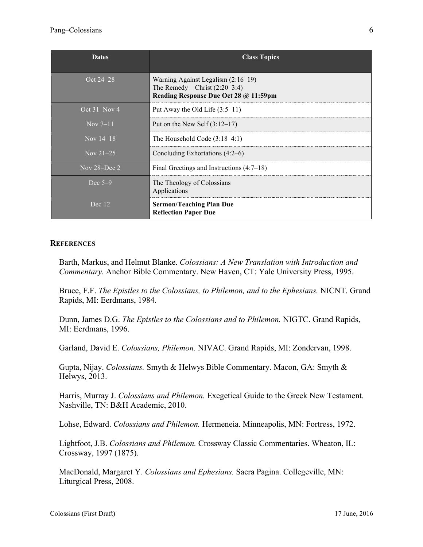| <b>Dates</b>     | <b>Class Topics</b>                                                                                             |
|------------------|-----------------------------------------------------------------------------------------------------------------|
| Oct 24–28        | Warning Against Legalism $(2:16-19)$<br>The Remedy—Christ $(2:20-3:4)$<br>Reading Response Due Oct 28 @ 11:59pm |
| Oct $31-Nov$ 4   | Put Away the Old Life $(3:5-11)$                                                                                |
| Nov $7-11$       | Put on the New Self $(3:12-17)$                                                                                 |
| Nov $14-18$      | The Household Code $(3:18-4:1)$                                                                                 |
| Nov $21-25$      | Concluding Exhortations $(4:2-6)$                                                                               |
| Nov $28 - Dec 2$ | Final Greetings and Instructions $(4:7-18)$                                                                     |
| Dec $5-9$        | The Theology of Colossians<br>Applications                                                                      |
| Dec 12           | <b>Sermon/Teaching Plan Due</b><br><b>Reflection Paper Due</b>                                                  |

#### **REFERENCES**

Barth, Markus, and Helmut Blanke. *Colossians: A New Translation with Introduction and Commentary.* Anchor Bible Commentary. New Haven, CT: Yale University Press, 1995.

Bruce, F.F. *The Epistles to the Colossians, to Philemon, and to the Ephesians.* NICNT. Grand Rapids, MI: Eerdmans, 1984.

Dunn, James D.G. *The Epistles to the Colossians and to Philemon.* NIGTC. Grand Rapids, MI: Eerdmans, 1996.

Garland, David E. *Colossians, Philemon.* NIVAC. Grand Rapids, MI: Zondervan, 1998.

Gupta, Nijay. *Colossians.* Smyth & Helwys Bible Commentary. Macon, GA: Smyth & Helwys, 2013.

Harris, Murray J. *Colossians and Philemon.* Exegetical Guide to the Greek New Testament. Nashville, TN: B&H Academic, 2010.

Lohse, Edward. *Colossians and Philemon.* Hermeneia. Minneapolis, MN: Fortress, 1972.

Lightfoot, J.B. *Colossians and Philemon.* Crossway Classic Commentaries. Wheaton, IL: Crossway, 1997 (1875).

MacDonald, Margaret Y. *Colossians and Ephesians.* Sacra Pagina. Collegeville, MN: Liturgical Press, 2008.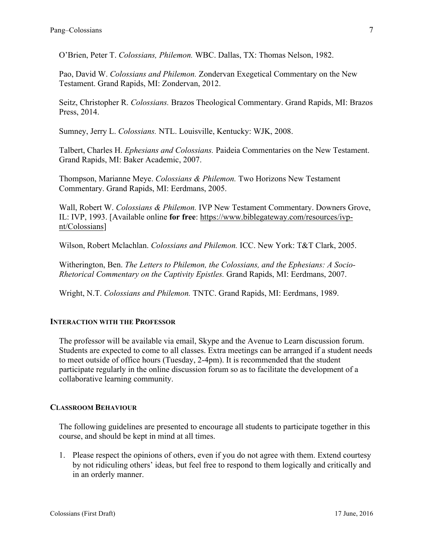O'Brien, Peter T. *Colossians, Philemon.* WBC. Dallas, TX: Thomas Nelson, 1982.

Pao, David W. *Colossians and Philemon.* Zondervan Exegetical Commentary on the New Testament. Grand Rapids, MI: Zondervan, 2012.

Seitz, Christopher R. *Colossians.* Brazos Theological Commentary. Grand Rapids, MI: Brazos Press, 2014.

Sumney, Jerry L. *Colossians.* NTL. Louisville, Kentucky: WJK, 2008.

Talbert, Charles H. *Ephesians and Colossians.* Paideia Commentaries on the New Testament. Grand Rapids, MI: Baker Academic, 2007.

Thompson, Marianne Meye. *Colossians & Philemon.* Two Horizons New Testament Commentary. Grand Rapids, MI: Eerdmans, 2005.

Wall, Robert W. *Colossians & Philemon.* IVP New Testament Commentary. Downers Grove, IL: IVP, 1993. [Available online **for free**: https://www.biblegateway.com/resources/ivpnt/Colossians]

Wilson, Robert Mclachlan. *Colossians and Philemon.* ICC. New York: T&T Clark, 2005.

Witherington, Ben. *The Letters to Philemon, the Colossians, and the Ephesians: A Socio-Rhetorical Commentary on the Captivity Epistles.* Grand Rapids, MI: Eerdmans, 2007.

Wright, N.T. *Colossians and Philemon.* TNTC. Grand Rapids, MI: Eerdmans, 1989.

#### **INTERACTION WITH THE PROFESSOR**

The professor will be available via email, Skype and the Avenue to Learn discussion forum. Students are expected to come to all classes. Extra meetings can be arranged if a student needs to meet outside of office hours (Tuesday, 2-4pm). It is recommended that the student participate regularly in the online discussion forum so as to facilitate the development of a collaborative learning community.

#### **CLASSROOM BEHAVIOUR**

The following guidelines are presented to encourage all students to participate together in this course, and should be kept in mind at all times.

1. Please respect the opinions of others, even if you do not agree with them. Extend courtesy by not ridiculing others' ideas, but feel free to respond to them logically and critically and in an orderly manner.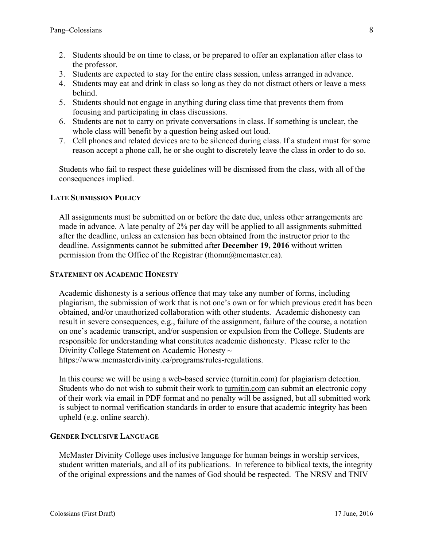- 2. Students should be on time to class, or be prepared to offer an explanation after class to the professor.
- 3. Students are expected to stay for the entire class session, unless arranged in advance.
- 4. Students may eat and drink in class so long as they do not distract others or leave a mess behind.
- 5. Students should not engage in anything during class time that prevents them from focusing and participating in class discussions.
- 6. Students are not to carry on private conversations in class. If something is unclear, the whole class will benefit by a question being asked out loud.
- 7. Cell phones and related devices are to be silenced during class. If a student must for some reason accept a phone call, he or she ought to discretely leave the class in order to do so.

Students who fail to respect these guidelines will be dismissed from the class, with all of the consequences implied.

# **LATE SUBMISSION POLICY**

All assignments must be submitted on or before the date due, unless other arrangements are made in advance. A late penalty of 2% per day will be applied to all assignments submitted after the deadline, unless an extension has been obtained from the instructor prior to the deadline. Assignments cannot be submitted after **December 19, 2016** without written permission from the Office of the Registrar (thomn@mcmaster.ca).

#### **STATEMENT ON ACADEMIC HONESTY**

Academic dishonesty is a serious offence that may take any number of forms, including plagiarism, the submission of work that is not one's own or for which previous credit has been obtained, and/or unauthorized collaboration with other students. Academic dishonesty can result in severe consequences, e.g., failure of the assignment, failure of the course, a notation on one's academic transcript, and/or suspension or expulsion from the College. Students are responsible for understanding what constitutes academic dishonesty. Please refer to the Divinity College Statement on Academic Honesty ~

https://www.mcmasterdivinity.ca/programs/rules-regulations.

In this course we will be using a web-based service (turnitin.com) for plagiarism detection. Students who do not wish to submit their work to turnitin.com can submit an electronic copy of their work via email in PDF format and no penalty will be assigned, but all submitted work is subject to normal verification standards in order to ensure that academic integrity has been upheld (e.g. online search).

#### **GENDER INCLUSIVE LANGUAGE**

McMaster Divinity College uses inclusive language for human beings in worship services, student written materials, and all of its publications. In reference to biblical texts, the integrity of the original expressions and the names of God should be respected. The NRSV and TNIV